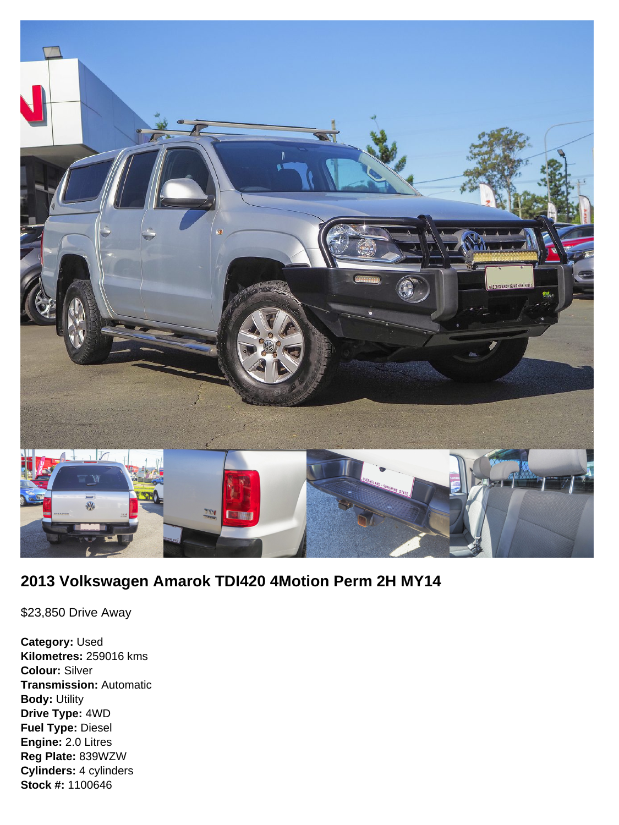

# **2013 Volkswagen Amarok TDI420 4Motion Perm 2H MY14**

\$23,850 Drive Away

**Category:** Used **Kilometres:** 259016 kms **Colour:** Silver **Transmission:** Automatic **Body:** Utility **Drive Type:** 4WD **Fuel Type:** Diesel **Engine:** 2.0 Litres **Reg Plate:** 839WZW **Cylinders:** 4 cylinders **Stock #:** 1100646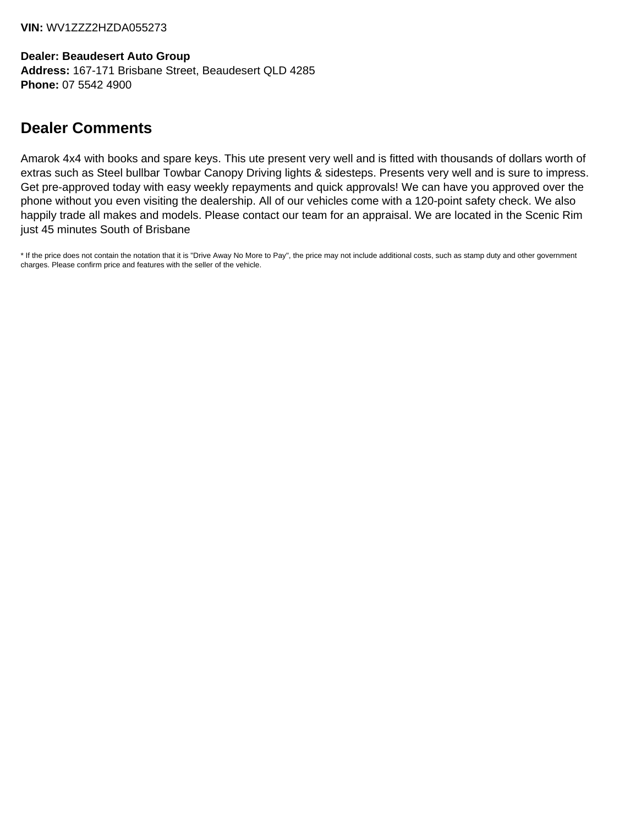**VIN:** WV1ZZZ2HZDA055273

**Dealer: Beaudesert Auto Group Address:** 167-171 Brisbane Street, Beaudesert QLD 4285 **Phone:** 07 5542 4900

# **Dealer Comments**

Amarok 4x4 with books and spare keys. This ute present very well and is fitted with thousands of dollars worth of extras such as Steel bullbar Towbar Canopy Driving lights & sidesteps. Presents very well and is sure to impress. Get pre-approved today with easy weekly repayments and quick approvals! We can have you approved over the phone without you even visiting the dealership. All of our vehicles come with a 120-point safety check. We also happily trade all makes and models. Please contact our team for an appraisal. We are located in the Scenic Rim just 45 minutes South of Brisbane

\* If the price does not contain the notation that it is "Drive Away No More to Pay", the price may not include additional costs, such as stamp duty and other government charges. Please confirm price and features with the seller of the vehicle.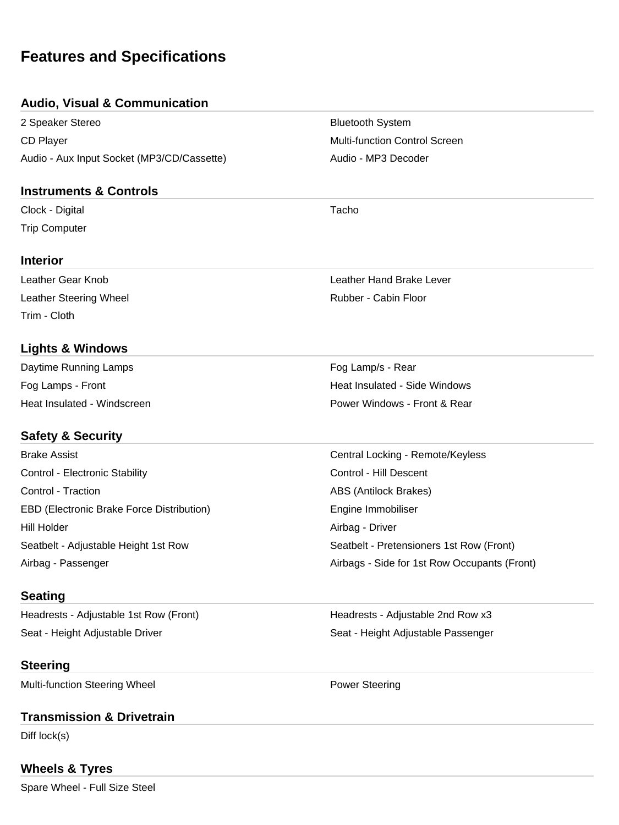# **Features and Specifications**

#### **Audio, Visual & Communication**

2 Speaker Stereo **Bluetooth System** Bluetooth System CD Player **Multi-function Control Screen** Multi-function Control Screen Audio - Aux Input Socket (MP3/CD/Cassette) Audio - MP3 Decoder

#### **Instruments & Controls**

Clock - Digital Tacho Trip Computer

#### **Interior**

Leather Steering Wheel **Rubber - Cabin Floor** Rubber - Cabin Floor Trim - Cloth

## **Lights & Windows**

| Daytime Running Lamps       | Fog Lamp/s - Rear             |
|-----------------------------|-------------------------------|
| Fog Lamps - Front           | Heat Insulated - Side Windows |
| Heat Insulated - Windscreen | Power Windows - Front & Rear  |

## **Safety & Security**

| <b>Brake Assist</b>                       | Central Locking - Remote/Keyless             |
|-------------------------------------------|----------------------------------------------|
| Control - Electronic Stability            | Control - Hill Descent                       |
| Control - Traction                        | <b>ABS (Antilock Brakes)</b>                 |
| EBD (Electronic Brake Force Distribution) | Engine Immobiliser                           |
| Hill Holder                               | Airbag - Driver                              |
| Seatbelt - Adjustable Height 1st Row      | Seatbelt - Pretensioners 1st Row (Front)     |
| Airbag - Passenger                        | Airbags - Side for 1st Row Occupants (Front) |

## **Seating**

Headrests - Adjustable 1st Row (Front) Headrests - Adjustable 2nd Row x3 Seat - Height Adjustable Driver Seat - Height Adjustable Passenger

## **Steering**

Multi-function Steering Wheel **Power Steering** 

## **Transmission & Drivetrain**

Diff lock(s)

## **Wheels & Tyres**

Spare Wheel - Full Size Steel

Leather Gear Knob Leather Hand Brake Lever